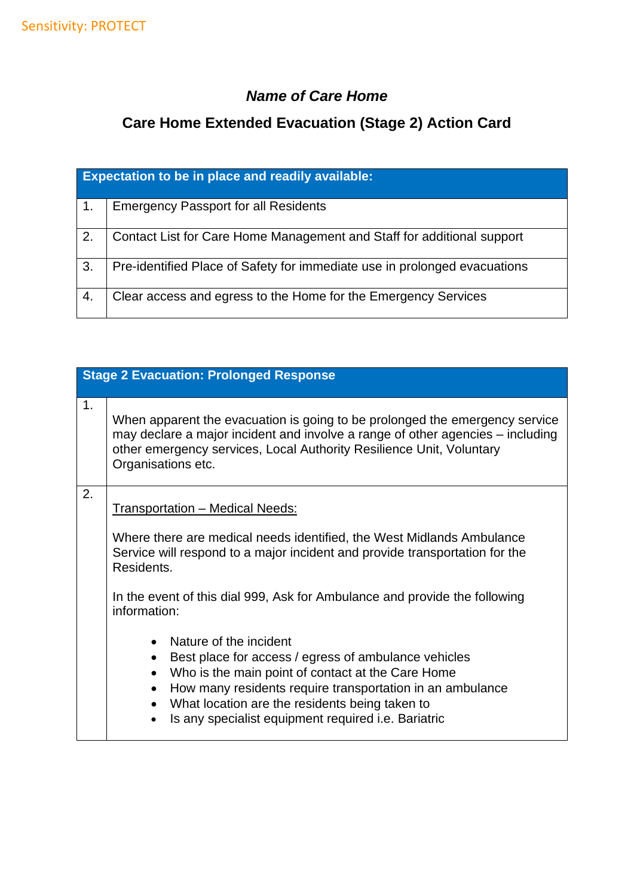#### *Name of Care Home*

## **Care Home Extended Evacuation (Stage 2) Action Card**

| <b>Expectation to be in place and readily available:</b> |                                                                           |
|----------------------------------------------------------|---------------------------------------------------------------------------|
| 1.                                                       | <b>Emergency Passport for all Residents</b>                               |
| $\overline{2}$ .                                         | Contact List for Care Home Management and Staff for additional support    |
| 3.                                                       | Pre-identified Place of Safety for immediate use in prolonged evacuations |
| 4.                                                       | Clear access and egress to the Home for the Emergency Services            |

# **Stage 2 Evacuation: Prolonged Response**

| 1. | When apparent the evacuation is going to be prolonged the emergency service<br>may declare a major incident and involve a range of other agencies – including<br>other emergency services, Local Authority Resilience Unit, Voluntary<br>Organisations etc.                                                                                                                                                                                                                                                                                                                                                                                                                        |
|----|------------------------------------------------------------------------------------------------------------------------------------------------------------------------------------------------------------------------------------------------------------------------------------------------------------------------------------------------------------------------------------------------------------------------------------------------------------------------------------------------------------------------------------------------------------------------------------------------------------------------------------------------------------------------------------|
| 2. | <b>Transportation - Medical Needs:</b><br>Where there are medical needs identified, the West Midlands Ambulance<br>Service will respond to a major incident and provide transportation for the<br>Residents.<br>In the event of this dial 999, Ask for Ambulance and provide the following<br>information:<br>Nature of the incident<br>$\bullet$<br>Best place for access / egress of ambulance vehicles<br>Who is the main point of contact at the Care Home<br>$\bullet$<br>How many residents require transportation in an ambulance<br>$\bullet$<br>What location are the residents being taken to<br>$\bullet$<br>Is any specialist equipment required <i>i.e.</i> Bariatric |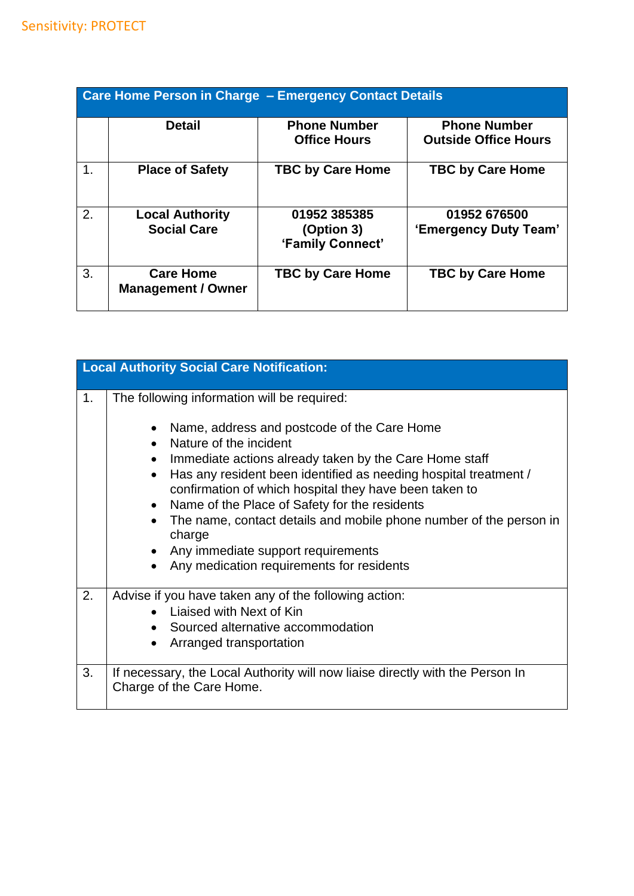| <b>Care Home Person in Charge - Emergency Contact Details</b> |                                               |                                                |                                                    |
|---------------------------------------------------------------|-----------------------------------------------|------------------------------------------------|----------------------------------------------------|
|                                                               | <b>Detail</b>                                 | <b>Phone Number</b><br><b>Office Hours</b>     | <b>Phone Number</b><br><b>Outside Office Hours</b> |
| 1.                                                            | <b>Place of Safety</b>                        | <b>TBC by Care Home</b>                        | <b>TBC by Care Home</b>                            |
| 2.                                                            | <b>Local Authority</b><br><b>Social Care</b>  | 01952 385385<br>(Option 3)<br>'Family Connect' | 01952 676500<br>'Emergency Duty Team'              |
| 3.                                                            | <b>Care Home</b><br><b>Management / Owner</b> | <b>TBC by Care Home</b>                        | <b>TBC by Care Home</b>                            |

|    | <b>Local Authority Social Care Notification:</b>                                                                                                                                                                                                                                                                                                                                      |
|----|---------------------------------------------------------------------------------------------------------------------------------------------------------------------------------------------------------------------------------------------------------------------------------------------------------------------------------------------------------------------------------------|
|    |                                                                                                                                                                                                                                                                                                                                                                                       |
| 1. | The following information will be required:<br>Name, address and postcode of the Care Home<br>Nature of the incident                                                                                                                                                                                                                                                                  |
|    | Immediate actions already taken by the Care Home staff<br>$\bullet$<br>Has any resident been identified as needing hospital treatment /<br>$\bullet$<br>confirmation of which hospital they have been taken to<br>Name of the Place of Safety for the residents<br>The name, contact details and mobile phone number of the person in<br>charge<br>Any immediate support requirements |
|    | Any medication requirements for residents                                                                                                                                                                                                                                                                                                                                             |
| 2. | Advise if you have taken any of the following action:<br>Liaised with Next of Kin<br>Sourced alternative accommodation<br>Arranged transportation                                                                                                                                                                                                                                     |
| 3. | If necessary, the Local Authority will now liaise directly with the Person In<br>Charge of the Care Home.                                                                                                                                                                                                                                                                             |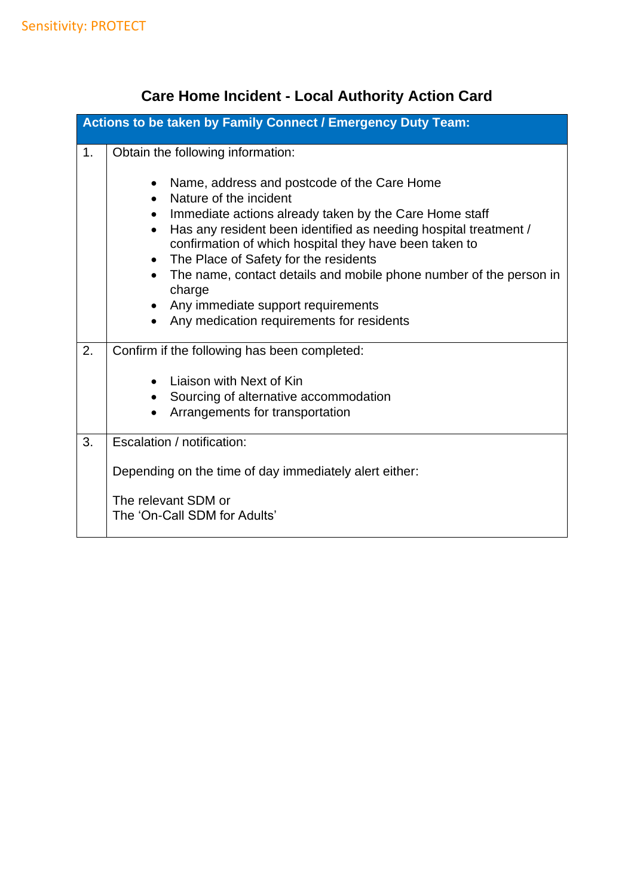## **Care Home Incident - Local Authority Action Card**

|    | Actions to be taken by Family Connect / Emergency Duty Team:                                                                                                                                                                                                                                                                                                                                                                                                                                                                               |
|----|--------------------------------------------------------------------------------------------------------------------------------------------------------------------------------------------------------------------------------------------------------------------------------------------------------------------------------------------------------------------------------------------------------------------------------------------------------------------------------------------------------------------------------------------|
| 1. | Obtain the following information:                                                                                                                                                                                                                                                                                                                                                                                                                                                                                                          |
|    | Name, address and postcode of the Care Home<br>$\bullet$<br>Nature of the incident<br>Immediate actions already taken by the Care Home staff<br>$\bullet$<br>Has any resident been identified as needing hospital treatment /<br>$\bullet$<br>confirmation of which hospital they have been taken to<br>The Place of Safety for the residents<br>$\bullet$<br>The name, contact details and mobile phone number of the person in<br>$\bullet$<br>charge<br>Any immediate support requirements<br>Any medication requirements for residents |
| 2. | Confirm if the following has been completed:                                                                                                                                                                                                                                                                                                                                                                                                                                                                                               |
|    | Liaison with Next of Kin                                                                                                                                                                                                                                                                                                                                                                                                                                                                                                                   |
|    | Sourcing of alternative accommodation                                                                                                                                                                                                                                                                                                                                                                                                                                                                                                      |
|    | Arrangements for transportation                                                                                                                                                                                                                                                                                                                                                                                                                                                                                                            |
| 3. | Escalation / notification:                                                                                                                                                                                                                                                                                                                                                                                                                                                                                                                 |
|    | Depending on the time of day immediately alert either:                                                                                                                                                                                                                                                                                                                                                                                                                                                                                     |
|    | The relevant SDM or<br>The 'On-Call SDM for Adults'                                                                                                                                                                                                                                                                                                                                                                                                                                                                                        |